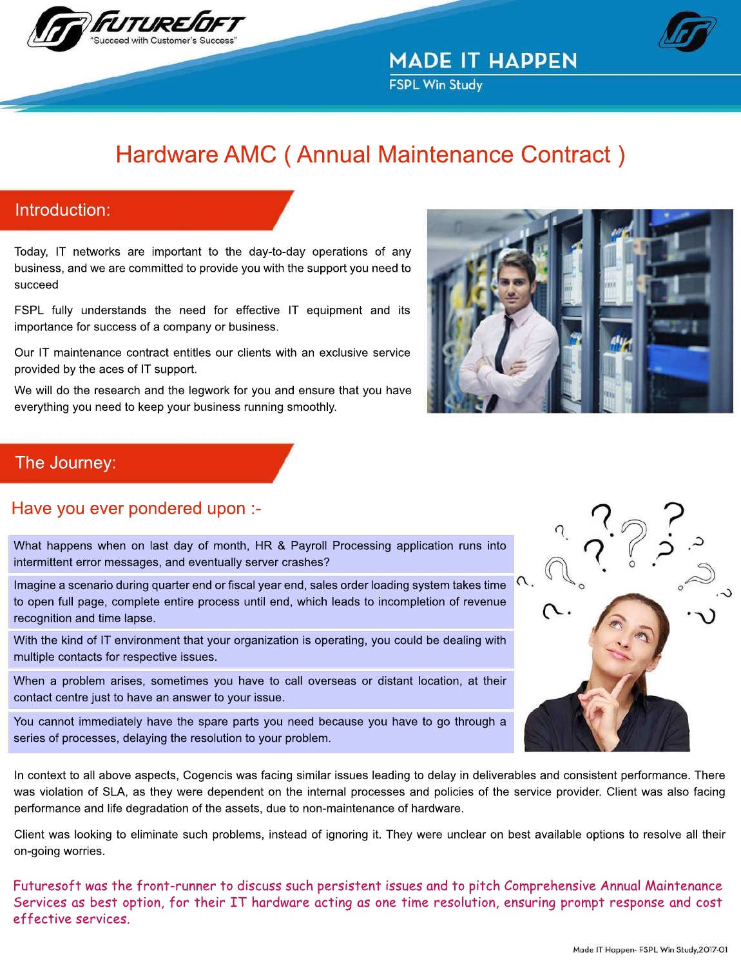



**FSPL Win Study** 

# Hardware AMC (Annual Maintenance Contract)

## Introduction:

Today, IT networks are important to the day-to-day operations of any business, and we are committed to provide you with the support you need to succeed

FSPL fully understands the need for effective IT equipment and its importance for success of a company or business.

Our IT maintenance contract entitles our clients with an exclusive service provided by the aces of IT support.

We will do the research and the legwork for you and ensure that you have everything you need to keep your business running smoothly.



## The Journey:

## Have you ever pondered upon :-

What happens when on last day of month, HR & Payroll Processing application runs into intermittent error messages, and eventually server crashes?

Imagine a scenario during quarter end or fiscal year end, sales order loading system takes time to open full page, complete entire process until end, which leads to incompletion of revenue recognition and time lapse.

With the kind of IT environment that your organization is operating, you could be dealing with multiple contacts for respective issues.

When a problem arises, sometimes you have to call overseas or distant location, at their contact centre just to have an answer to your issue.

You cannot immediately have the spare parts you need because you have to go through a series of processes, delaying the resolution to your problem.

In context to all above aspects, Cogencis was facing similar issues leading to delay in deliverables and consistent performance. There was violation of SLA, as they were dependent on the internal processes and policies of the service provider. Client was also facing performance and life degradation of the assets, due to non-maintenance of hardware.

Client was looking to eliminate such problems, instead of ignoring it. They were unclear on best available options to resolve all their on-going worries.

Futuresoft was the front-runner to discuss such persistent issues and to pitch Comprehensive Annual Maintenance Services as best option, for their IT hardware acting as one time resolution, ensuring prompt response and cost effective services.

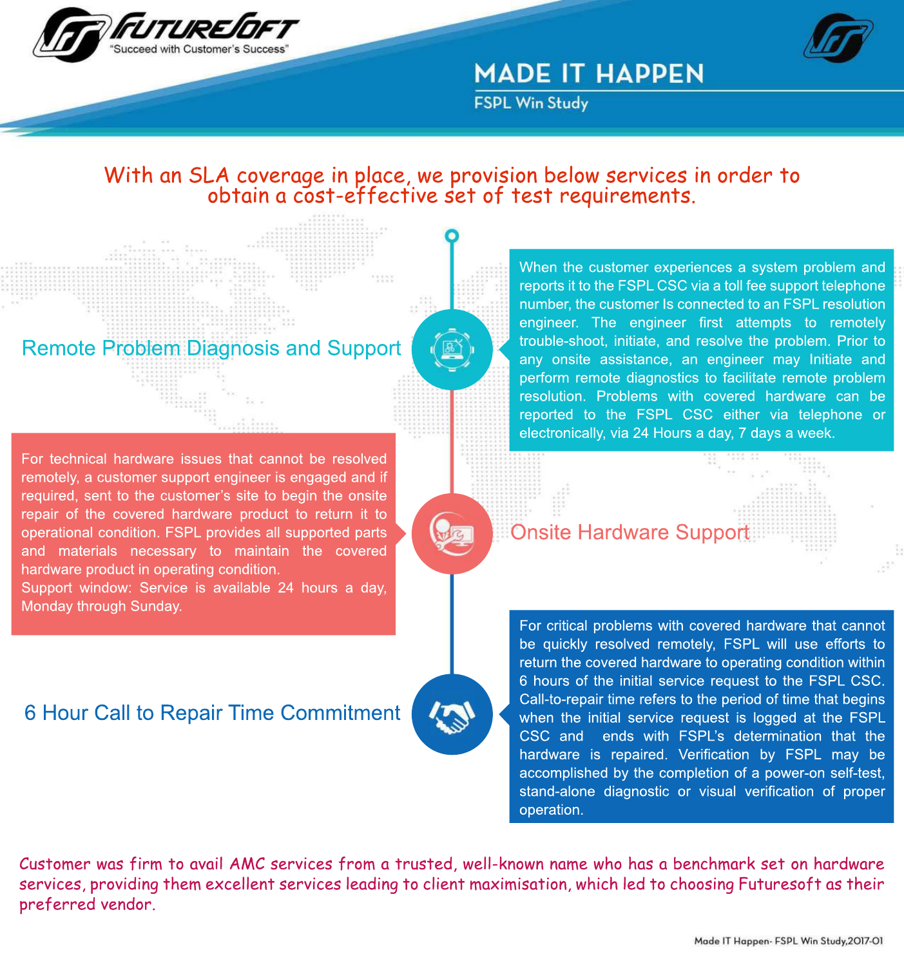



**FSPL Win Study** 

## With an SLA coverage in place, we provision below services in order to obtain a cost-effective set of test requirements.

## Remote Problem Diagnosis and Support

For technical hardware issues that cannot be resolved remotely, a customer support engineer is engaged and if required, sent to the customer's site to begin the onsite repair of the covered hardware product to return it to operational condition. FSPL provides all supported parts and materials necessary to maintain the covered hardware product in operating condition.

Support window: Service is available 24 hours a day, Monday through Sunday.

## 6 Hour Call to Repair Time Commitment



resolution. Problems with covered hardware can be reported to the FSPL CSC either via telephone or electronically, via 24 Hours a day, 7 days a week. When the customer experiences a system problem and reports it to the FSPL CSC via a toll fee support telephone number, the customer Is connected to an FSPL resolution engineer. The engineer first attempts to remotely trouble-shoot, initiate, and resolve the problem. Prior to any onsite assistance, an engineer may Initiate and perform remote diagnostics to facilitate remote problem

## **Onsite Hardware Support**

hardware is repaired. Verification by FSPL may be accomplished by the completion of a power-on self-test, stand-alone diagnostic or visual verification of proper operation. For critical problems with covered hardware that cannot be quickly resolved remotely, FSPL will use efforts to return the covered hardware to operating condition within 6 hours of the initial service request to the FSPL CSC. Call-to-repair time refers to the period of time that begins when the initial service request is logged at the FSPL CSC and ends with FSPL's determination that the

Customer was firm to avail AMC services from a trusted, well-known name who has a benchmark set on hardware services, providing them excellent services leading to client maximisation, which led to choosing Futuresoft as their preferred vendor.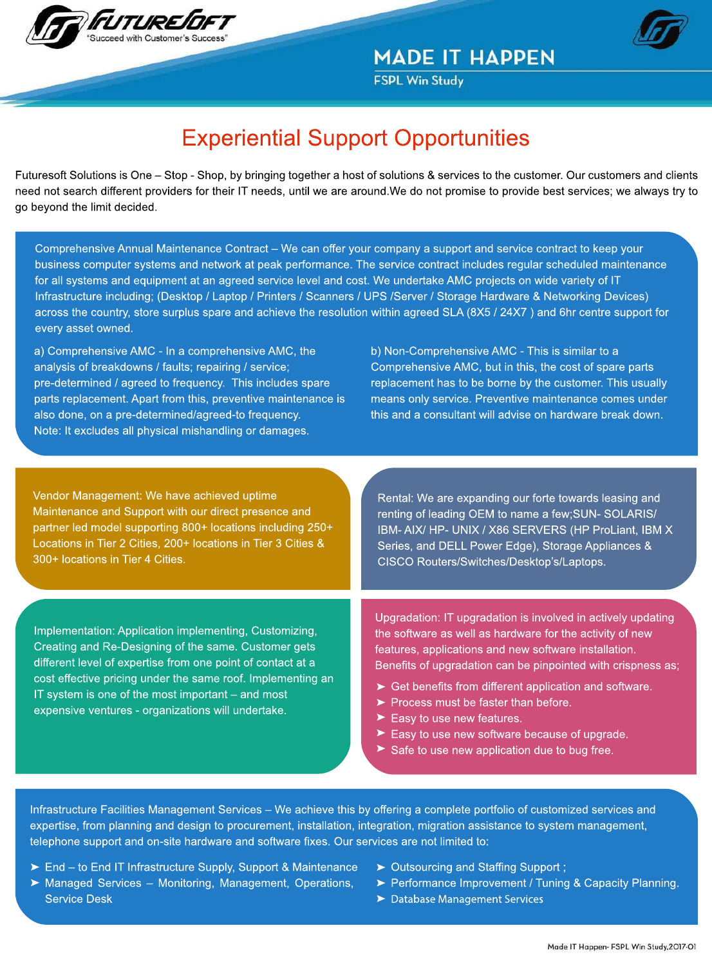

**FSPL Win Study** 

# **Experiential Support Opportunities**

Futuresoft Solutions is One – Stop - Shop, by bringing together a host of solutions & services to the customer. Our customers and clients need not search different providers for their IT needs, until we are around.We do not promise to provide best services; we always try to go beyond the limit decided.

Comprehensive Annual Maintenance Contract – We can offer your company a support and service contract to keep your business computer systems and network at peak performance. The service contract includes regular scheduled maintenance for all systems and equipment at an agreed service level and cost. We undertake AMC projects on wide variety of IT Infrastructure including; (Desktop / Laptop / Printers / Scanners / UPS /Server / Storage Hardware & Networking Devices) across the country, store surplus spare and achieve the resolution within agreed SLA (8X5/24X7) and 6hr centre support for every asset owned.

a) Comprehensive AMC - In a comprehensive AMC, the analysis of breakdowns / faults; repairing / service; pre-determined / agreed to frequency. This includes spare parts replacement. Apart from this, preventive maintenance is also done, on a pre-determined/agreed-to frequency. Note: It excludes all physical mishandling or damages.

b) Non-Comprehensive AMC - This is similar to a Comprehensive AMC, but in this, the cost of spare parts replacement has to be borne by the customer. This usually means only service. Preventive maintenance comes under this and a consultant will advise on hardware break down.

Vendor Management: We have achieved uptime Maintenance and Support with our direct presence and partner led model supporting 800+ locations including 250+ Locations in Tier 2 Cities, 200+ locations in Tier 3 Cities & 300+ locations in Tier 4 Cities.

Rental: We are expanding our forte towards leasing and renting of leading OEM to name a few;SUN-SOLARIS/ IBM-AIX/HP-UNIX / X86 SERVERS (HP ProLiant, IBM X Series, and DELL Power Edge), Storage Appliances & CISCO Routers/Switches/Desktop's/Laptops.

Implementation: Application implementing, Customizing, Creating and Re-Designing of the same. Customer gets different level of expertise from one point of contact at a cost effective pricing under the same roof. Implementing an IT system is one of the most important  $-$  and most expensive ventures - organizations will undertake.

Upgradation: IT upgradation is involved in actively updating the software as well as hardware for the activity of new features, applications and new software installation. Benefits of upgradation can be pinpointed with crispness as;

- $\triangleright$  Get benefits from different application and software.
- $\blacktriangleright$  Process must be faster than before.
- $\blacktriangleright$  Easy to use new features.
- $\blacktriangleright$  Easy to use new software because of upgrade.
- $\blacktriangleright$  Safe to use new application due to bug free.

Infrastructure Facilities Management Services – We achieve this by offering a complete portfolio of customized services and expertise, from planning and design to procurement, installation, integration, migration assistance to system management, telephone support and on-site hardware and software fixes. Our services are not limited to:

- ► End to End IT Infrastructure Supply, Support & Maintenance
- $\triangleright$  Outsourcing and Staffing Support;
- $\blacktriangleright$  Managed Services Monitoring, Management, Operations, **Service Desk**
- Performance Improvement / Tuning & Capacity Planning.
- $\blacktriangleright$  Database Management Services